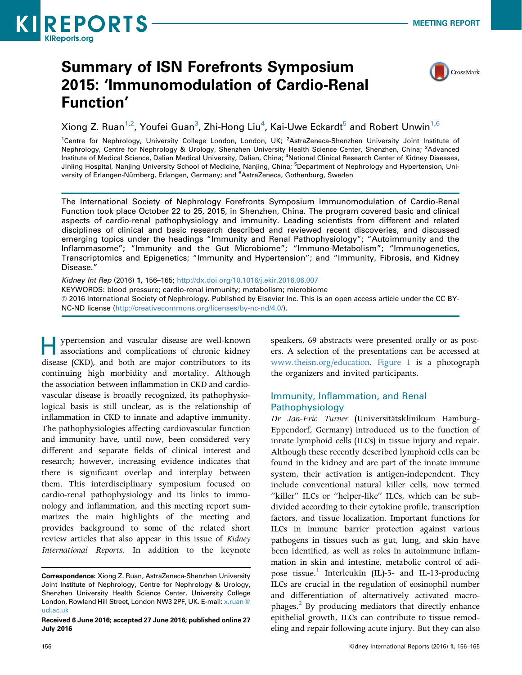

# Summary of ISN Forefronts Symposium 2015: 'Immunomodulation of Cardio-Renal Function'



Xiong Z. Ruan $^{1,2}$ , Youfei Guan $^3$ , Zhi-Hong Liu $^4$ , Kai-Uwe Eckardt $^5$  and Robert Unwin $^{1,6}$ 

<sup>1</sup>Centre for Nephrology, University College London, London, UK; <sup>2</sup>AstraZeneca-Shenzhen University Joint Institute of Nephrology, Centre for Nephrology & Urology, Shenzhen University Health Science Center, Shenzhen, China; <sup>3</sup>Advanced Institute of Medical Science, Dalian Medical University, Dalian, China; <sup>4</sup>National Clinical Research Center of Kidney Diseases, Jinling Hospital, Nanjing University School of Medicine, Nanjing, China; <sup>5</sup>Department of Nephrology and Hypertension, University of Erlangen-Nürnberg, Erlangen, Germany; and <sup>6</sup>AstraZeneca, Gothenburg, Sweden

The International Society of Nephrology Forefronts Symposium Immunomodulation of Cardio-Renal Function took place October 22 to 25, 2015, in Shenzhen, China. The program covered basic and clinical aspects of cardio-renal pathophysiology and immunity. Leading scientists from different and related disciplines of clinical and basic research described and reviewed recent discoveries, and discussed emerging topics under the headings "Immunity and Renal Pathophysiology"; "Autoimmunity and the Inflammasome"; "Immunity and the Gut Microbiome"; "Immuno-Metabolism"; "Immunogenetics, Transcriptomics and Epigenetics; "Immunity and Hypertension"; and "Immunity, Fibrosis, and Kidney Disease."

Kidney Int Rep (2016) 1, 156–165; <http://dx.doi.org/10.1016/j.ekir.2016.06.007> KEYWORDS: blood pressure; cardio-renal immunity; metabolism; microbiome ª 2016 International Society of Nephrology. Published by Elsevier Inc. This is an open access article under the CC BY-NC-ND license [\(http://creativecommons.org/licenses/by-nc-nd/4.0/](http://creativecommons.org/licenses/by-nc-nd/4.0/)).

Hypertension and vascular disease are well-known associations and complications of chronic kidney disease (CKD), and both are major contributors to its continuing high morbidity and mortality. Although the association between inflammation in CKD and cardiovascular disease is broadly recognized, its pathophysiological basis is still unclear, as is the relationship of inflammation in CKD to innate and adaptive immunity. The pathophysiologies affecting cardiovascular function and immunity have, until now, been considered very different and separate fields of clinical interest and research; however, increasing evidence indicates that there is significant overlap and interplay between them. This interdisciplinary symposium focused on cardio-renal pathophysiology and its links to immunology and inflammation, and this meeting report summarizes the main highlights of the meeting and provides background to some of the related short review articles that also appear in this issue of Kidney International Reports. In addition to the keynote

speakers, 69 abstracts were presented orally or as posters. A selection of the presentations can be accessed at [www.theisn.org/education.](http://www.theisn.org/education) [Figure 1](#page-1-0) is a photograph the organizers and invited participants.

# Immunity, Inflammation, and Renal Pathophysiology

Dr Jan-Eric Turner (Universitätsklinikum Hamburg-Eppendorf, Germany) introduced us to the function of innate lymphoid cells (ILCs) in tissue injury and repair. Although these recently described lymphoid cells can be found in the kidney and are part of the innate immune system, their activation is antigen-independent. They include conventional natural killer cells, now termed "killer" ILCs or "helper-like" ILCs, which can be subdivided according to their cytokine profile, transcription factors, and tissue localization. Important functions for ILCs in immune barrier protection against various pathogens in tissues such as gut, lung, and skin have been identified, as well as roles in autoimmune inflammation in skin and intestine, metabolic control of adi-pose tissue.<sup>[1](#page-8-0)</sup> Interleukin (IL)-5- and IL-13-producing ILCs are crucial in the regulation of eosinophil number and differentiation of alternatively activated macrophages. $\frac{2}{3}$  By producing mediators that directly enhance epithelial growth, ILCs can contribute to tissue remodeling and repair following acute injury. But they can also

Correspondence: Xiong Z. Ruan, AstraZeneca-Shenzhen University Joint Institute of Nephrology, Centre for Nephrology & Urology, Shenzhen University Health Science Center, University College London, Rowland Hill Street, London NW3 2PF, UK. E-mail: [x.ruan@](mailto:x.ruan@ucl.ac.uk) [ucl.ac.uk](mailto:x.ruan@ucl.ac.uk)

Received 6 June 2016; accepted 27 June 2016; published online 27 July 2016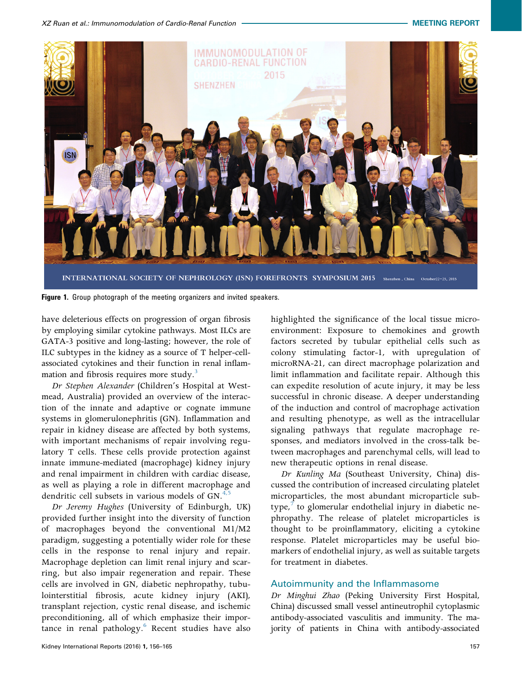<span id="page-1-0"></span>

Figure 1. Group photograph of the meeting organizers and invited speakers.

have deleterious effects on progression of organ fibrosis by employing similar cytokine pathways. Most ILCs are GATA-3 positive and long-lasting; however, the role of ILC subtypes in the kidney as a source of T helper-cellassociated cytokines and their function in renal inflammation and fibrosis requires more study.<sup>3</sup>

Dr Stephen Alexander (Children's Hospital at Westmead, Australia) provided an overview of the interaction of the innate and adaptive or cognate immune systems in glomerulonephritis (GN). Inflammation and repair in kidney disease are affected by both systems, with important mechanisms of repair involving regulatory T cells. These cells provide protection against innate immune-mediated (macrophage) kidney injury and renal impairment in children with cardiac disease, as well as playing a role in different macrophage and dendritic cell subsets in various models of  $GN<sup>4,5</sup>$  $GN<sup>4,5</sup>$  $GN<sup>4,5</sup>$ 

Dr Jeremy Hughes (University of Edinburgh, UK) provided further insight into the diversity of function of macrophages beyond the conventional M1/M2 paradigm, suggesting a potentially wider role for these cells in the response to renal injury and repair. Macrophage depletion can limit renal injury and scarring, but also impair regeneration and repair. These cells are involved in GN, diabetic nephropathy, tubulointerstitial fibrosis, acute kidney injury (AKI), transplant rejection, cystic renal disease, and ischemic preconditioning, all of which emphasize their importance in renal pathology. $6$  Recent studies have also

highlighted the significance of the local tissue microenvironment: Exposure to chemokines and growth factors secreted by tubular epithelial cells such as colony stimulating factor-1, with upregulation of microRNA-21, can direct macrophage polarization and limit inflammation and facilitate repair. Although this can expedite resolution of acute injury, it may be less successful in chronic disease. A deeper understanding of the induction and control of macrophage activation and resulting phenotype, as well as the intracellular signaling pathways that regulate macrophage responses, and mediators involved in the cross-talk between macrophages and parenchymal cells, will lead to new therapeutic options in renal disease.

Dr Kunling Ma (Southeast University, China) discussed the contribution of increased circulating platelet microparticles, the most abundant microparticle subtype, $\frac{7}{7}$  $\frac{7}{7}$  $\frac{7}{7}$  to glomerular endothelial injury in diabetic nephropathy. The release of platelet microparticles is thought to be proinflammatory, eliciting a cytokine response. Platelet microparticles may be useful biomarkers of endothelial injury, as well as suitable targets for treatment in diabetes.

#### Autoimmunity and the Inflammasome

Dr Minghui Zhao (Peking University First Hospital, China) discussed small vessel antineutrophil cytoplasmic antibody-associated vasculitis and immunity. The majority of patients in China with antibody-associated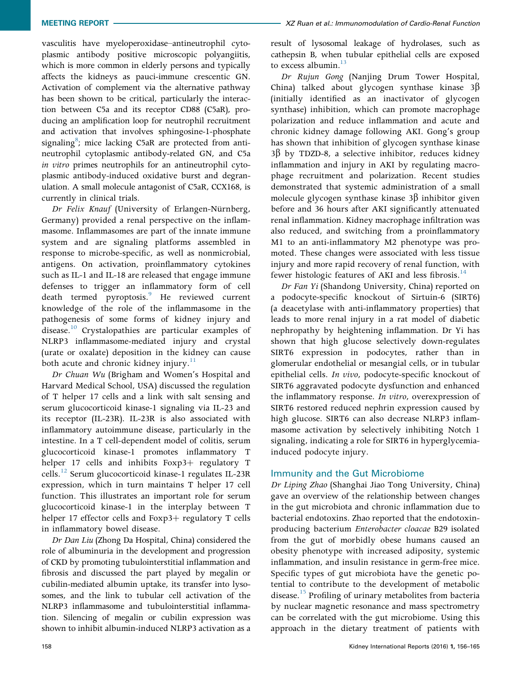vasculitis have myeloperoxidase–antineutrophil cytoplasmic antibody positive microscopic polyangiitis, which is more common in elderly persons and typically affects the kidneys as pauci-immune crescentic GN. Activation of complement via the alternative pathway has been shown to be critical, particularly the interaction between C5a and its receptor CD88 (C5aR), producing an amplification loop for neutrophil recruitment and activation that involves sphingosine-1-phosphate signaling<sup>8</sup>; mice lacking C5aR are protected from antineutrophil cytoplasmic antibody-related GN, and C5a in vitro primes neutrophils for an antineutrophil cytoplasmic antibody-induced oxidative burst and degranulation. A small molecule antagonist of C5aR, CCX168, is currently in clinical trials.

Dr Felix Knauf (University of Erlangen-Nürnberg, Germany) provided a renal perspective on the inflammasome. Inflammasomes are part of the innate immune system and are signaling platforms assembled in response to microbe-specific, as well as nonmicrobial, antigens. On activation, proinflammatory cytokines such as IL-1 and IL-18 are released that engage immune defenses to trigger an inflammatory form of cell death termed pyroptosis.<sup>[9](#page-8-0)</sup> He reviewed current knowledge of the role of the inflammasome in the pathogenesis of some forms of kidney injury and disease.<sup>[10](#page-8-0)</sup> Crystalopathies are particular examples of NLRP3 inflammasome-mediated injury and crystal (urate or oxalate) deposition in the kidney can cause both acute and chronic kidney injury. $\frac{11}{11}$  $\frac{11}{11}$  $\frac{11}{11}$ 

Dr Chuan Wu (Brigham and Women's Hospital and Harvard Medical School, USA) discussed the regulation of T helper 17 cells and a link with salt sensing and serum glucocorticoid kinase-1 signaling via IL-23 and its receptor (IL-23R). IL-23R is also associated with inflammatory autoimmune disease, particularly in the intestine. In a T cell-dependent model of colitis, serum glucocorticoid kinase-1 promotes inflammatory T helper 17 cells and inhibits Foxp3+ regulatory T cells.<sup>12</sup> Serum glucocorticoid kinase-1 regulates IL-23R expression, which in turn maintains T helper 17 cell function. This illustrates an important role for serum glucocorticoid kinase-1 in the interplay between T helper 17 effector cells and Foxp3+ regulatory  $T$  cells in inflammatory bowel disease.

Dr Dan Liu (Zhong Da Hospital, China) considered the role of albuminuria in the development and progression of CKD by promoting tubulointerstitial inflammation and fibrosis and discussed the part played by megalin or cubilin-mediated albumin uptake, its transfer into lysosomes, and the link to tubular cell activation of the NLRP3 inflammasome and tubulointerstitial inflammation. Silencing of megalin or cubilin expression was shown to inhibit albumin-induced NLRP3 activation as a

result of lysosomal leakage of hydrolases, such as cathepsin B, when tubular epithelial cells are exposed to excess albumin.<sup>13</sup>

Dr Rujun Gong (Nanjing Drum Tower Hospital, China) talked about glycogen synthase kinase  $3\beta$ (initially identified as an inactivator of glycogen synthase) inhibition, which can promote macrophage polarization and reduce inflammation and acute and chronic kidney damage following AKI. Gong's group has shown that inhibition of glycogen synthase kinase  $3\beta$  by TDZD-8, a selective inhibitor, reduces kidney inflammation and injury in AKI by regulating macrophage recruitment and polarization. Recent studies demonstrated that systemic administration of a small molecule glycogen synthase kinase  $3\beta$  inhibitor given before and 36 hours after AKI significantly attenuated renal inflammation. Kidney macrophage infiltration was also reduced, and switching from a proinflammatory M1 to an anti-inflammatory M2 phenotype was promoted. These changes were associated with less tissue injury and more rapid recovery of renal function, with fewer histologic features of AKI and less fibrosis.<sup>[14](#page-8-0)</sup>

Dr Fan Yi (Shandong University, China) reported on a podocyte-specific knockout of Sirtuin-6 (SIRT6) (a deacetylase with anti-inflammatory properties) that leads to more renal injury in a rat model of diabetic nephropathy by heightening inflammation. Dr Yi has shown that high glucose selectively down-regulates SIRT6 expression in podocytes, rather than in glomerular endothelial or mesangial cells, or in tubular epithelial cells. In vivo, podocyte-specific knockout of SIRT6 aggravated podocyte dysfunction and enhanced the inflammatory response. In vitro, overexpression of SIRT6 restored reduced nephrin expression caused by high glucose. SIRT6 can also decrease NLRP3 inflammasome activation by selectively inhibiting Notch 1 signaling, indicating a role for SIRT6 in hyperglycemiainduced podocyte injury.

## Immunity and the Gut Microbiome

Dr Liping Zhao (Shanghai Jiao Tong University, China) gave an overview of the relationship between changes in the gut microbiota and chronic inflammation due to bacterial endotoxins. Zhao reported that the endotoxinproducing bacterium Enterobacter cloacae B29 isolated from the gut of morbidly obese humans caused an obesity phenotype with increased adiposity, systemic inflammation, and insulin resistance in germ-free mice. Specific types of gut microbiota have the genetic potential to contribute to the development of metabolic disease.<sup>[15](#page-8-0)</sup> Profiling of urinary metabolites from bacteria by nuclear magnetic resonance and mass spectrometry can be correlated with the gut microbiome. Using this approach in the dietary treatment of patients with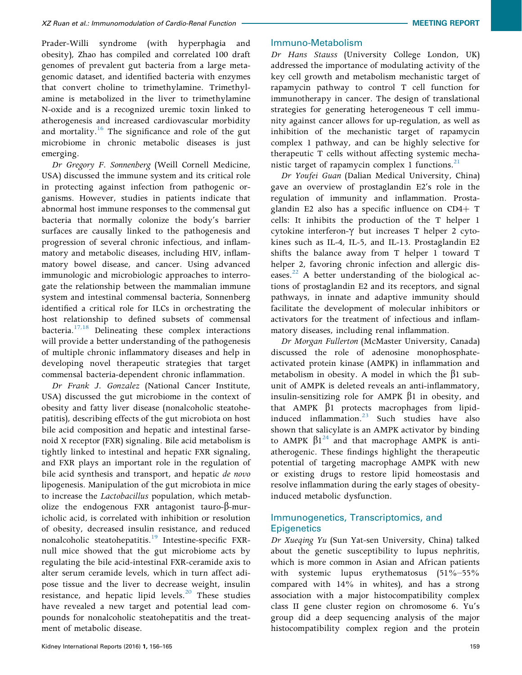Prader-Willi syndrome (with hyperphagia and obesity), Zhao has compiled and correlated 100 draft genomes of prevalent gut bacteria from a large metagenomic dataset, and identified bacteria with enzymes that convert choline to trimethylamine. Trimethylamine is metabolized in the liver to trimethylamine N-oxide and is a recognized uremic toxin linked to atherogenesis and increased cardiovascular morbidity and mortality.<sup>[16](#page-8-0)</sup> The significance and role of the gut microbiome in chronic metabolic diseases is just emerging.

Dr Gregory F. Sonnenberg (Weill Cornell Medicine, USA) discussed the immune system and its critical role in protecting against infection from pathogenic organisms. However, studies in patients indicate that abnormal host immune responses to the commensal gut bacteria that normally colonize the body's barrier surfaces are causally linked to the pathogenesis and progression of several chronic infectious, and inflammatory and metabolic diseases, including HIV, inflammatory bowel disease, and cancer. Using advanced immunologic and microbiologic approaches to interrogate the relationship between the mammalian immune system and intestinal commensal bacteria, Sonnenberg identified a critical role for ILCs in orchestrating the host relationship to defined subsets of commensal bacteria. $17,18$  Delineating these complex interactions will provide a better understanding of the pathogenesis of multiple chronic inflammatory diseases and help in developing novel therapeutic strategies that target commensal bacteria-dependent chronic inflammation.

Dr Frank J. Gonzalez (National Cancer Institute, USA) discussed the gut microbiome in the context of obesity and fatty liver disease (nonalcoholic steatohepatitis), describing effects of the gut microbiota on host bile acid composition and hepatic and intestinal farsenoid X receptor (FXR) signaling. Bile acid metabolism is tightly linked to intestinal and hepatic FXR signaling, and FXR plays an important role in the regulation of bile acid synthesis and transport, and hepatic de novo lipogenesis. Manipulation of the gut microbiota in mice to increase the Lactobacillus population, which metabolize the endogenous FXR antagonist tauro- $\beta$ -muricholic acid, is correlated with inhibition or resolution of obesity, decreased insulin resistance, and reduced nonalcoholic steatohepatitis.<sup>[19](#page-8-0)</sup> Intestine-specific FXRnull mice showed that the gut microbiome acts by regulating the bile acid-intestinal FXR-ceramide axis to alter serum ceramide levels, which in turn affect adipose tissue and the liver to decrease weight, insulin resistance, and hepatic lipid levels. $20$  These studies have revealed a new target and potential lead compounds for nonalcoholic steatohepatitis and the treatment of metabolic disease.

#### Immuno-Metabolism

Dr Hans Stauss (University College London, UK) addressed the importance of modulating activity of the key cell growth and metabolism mechanistic target of rapamycin pathway to control T cell function for immunotherapy in cancer. The design of translational strategies for generating heterogeneous T cell immunity against cancer allows for up-regulation, as well as inhibition of the mechanistic target of rapamycin complex 1 pathway, and can be highly selective for therapeutic T cells without affecting systemic mechanistic target of rapamycin complex 1 functions. $21$ 

Dr Youfei Guan (Dalian Medical University, China) gave an overview of prostaglandin E2's role in the regulation of immunity and inflammation. Prostaglandin E2 also has a specific influence on  $CD4+T$ cells: It inhibits the production of the T helper 1 cytokine interferon- $\gamma$  but increases T helper 2 cytokines such as IL-4, IL-5, and IL-13. Prostaglandin E2 shifts the balance away from T helper 1 toward T helper 2, favoring chronic infection and allergic diseases. $^{22}$  $^{22}$  $^{22}$  A better understanding of the biological actions of prostaglandin E2 and its receptors, and signal pathways, in innate and adaptive immunity should facilitate the development of molecular inhibitors or activators for the treatment of infectious and inflammatory diseases, including renal inflammation.

Dr Morgan Fullerton (McMaster University, Canada) discussed the role of adenosine monophosphateactivated protein kinase (AMPK) in inflammation and metabolism in obesity. A model in which the  $\beta$ 1 subunit of AMPK is deleted reveals an anti-inflammatory, insulin-sensitizing role for AMPK  $\beta$ 1 in obesity, and that AMPK  $\beta$ 1 protects macrophages from lipid-induced inflammation.<sup>[23](#page-8-0)</sup> Such studies have also shown that salicylate is an AMPK activator by binding to AMPK  $\beta1^{24}$  $\beta1^{24}$  $\beta1^{24}$  and that macrophage AMPK is antiatherogenic. These findings highlight the therapeutic potential of targeting macrophage AMPK with new or existing drugs to restore lipid homeostasis and resolve inflammation during the early stages of obesityinduced metabolic dysfunction.

## Immunogenetics, Transcriptomics, and **Epigenetics**

Dr Xueqing Yu (Sun Yat-sen University, China) talked about the genetic susceptibility to lupus nephritis, which is more common in Asian and African patients with systemic lupus erythematosus (51%–55%) compared with 14% in whites), and has a strong association with a major histocompatibility complex class II gene cluster region on chromosome 6. Yu's group did a deep sequencing analysis of the major histocompatibility complex region and the protein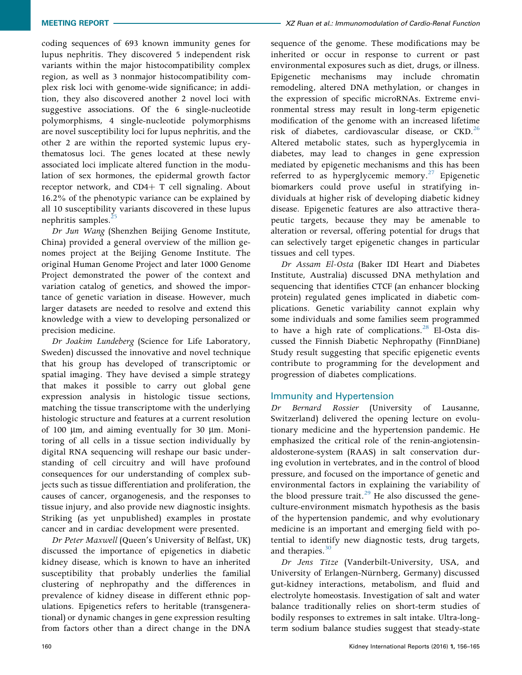coding sequences of 693 known immunity genes for lupus nephritis. They discovered 5 independent risk variants within the major histocompatibility complex region, as well as 3 nonmajor histocompatibility complex risk loci with genome-wide significance; in addition, they also discovered another 2 novel loci with suggestive associations. Of the 6 single-nucleotide polymorphisms, 4 single-nucleotide polymorphisms are novel susceptibility loci for lupus nephritis, and the other 2 are within the reported systemic lupus erythematosus loci. The genes located at these newly associated loci implicate altered function in the modulation of sex hormones, the epidermal growth factor receptor network, and CD4+  $T$  cell signaling. About 16.2% of the phenotypic variance can be explained by all 10 susceptibility variants discovered in these lupus nephritis samples.<sup>[25](#page-9-0)</sup>

Dr Jun Wang (Shenzhen Beijing Genome Institute, China) provided a general overview of the million genomes project at the Beijing Genome Institute. The original Human Genome Project and later 1000 Genome Project demonstrated the power of the context and variation catalog of genetics, and showed the importance of genetic variation in disease. However, much larger datasets are needed to resolve and extend this knowledge with a view to developing personalized or precision medicine.

Dr Joakim Lundeberg (Science for Life Laboratory, Sweden) discussed the innovative and novel technique that his group has developed of transcriptomic or spatial imaging. They have devised a simple strategy that makes it possible to carry out global gene expression analysis in histologic tissue sections, matching the tissue transcriptome with the underlying histologic structure and features at a current resolution of 100  $\mu$ m, and aiming eventually for 30  $\mu$ m. Monitoring of all cells in a tissue section individually by digital RNA sequencing will reshape our basic understanding of cell circuitry and will have profound consequences for our understanding of complex subjects such as tissue differentiation and proliferation, the causes of cancer, organogenesis, and the responses to tissue injury, and also provide new diagnostic insights. Striking (as yet unpublished) examples in prostate cancer and in cardiac development were presented.

Dr Peter Maxwell (Queen's University of Belfast, UK) discussed the importance of epigenetics in diabetic kidney disease, which is known to have an inherited susceptibility that probably underlies the familial clustering of nephropathy and the differences in prevalence of kidney disease in different ethnic populations. Epigenetics refers to heritable (transgenerational) or dynamic changes in gene expression resulting from factors other than a direct change in the DNA

sequence of the genome. These modifications may be inherited or occur in response to current or past environmental exposures such as diet, drugs, or illness. Epigenetic mechanisms may include chromatin remodeling, altered DNA methylation, or changes in the expression of specific microRNAs. Extreme environmental stress may result in long-term epigenetic modification of the genome with an increased lifetime risk of diabetes, cardiovascular disease, or  $\text{CKD.}^{26}$ Altered metabolic states, such as hyperglycemia in diabetes, may lead to changes in gene expression mediated by epigenetic mechanisms and this has been referred to as hyperglycemic memory. $27$  Epigenetic biomarkers could prove useful in stratifying individuals at higher risk of developing diabetic kidney disease. Epigenetic features are also attractive therapeutic targets, because they may be amenable to alteration or reversal, offering potential for drugs that can selectively target epigenetic changes in particular tissues and cell types.

Dr Assam El-Osta (Baker IDI Heart and Diabetes Institute, Australia) discussed DNA methylation and sequencing that identifies CTCF (an enhancer blocking protein) regulated genes implicated in diabetic complications. Genetic variability cannot explain why some individuals and some families seem programmed to have a high rate of complications.<sup>[28](#page-9-0)</sup> El-Osta discussed the Finnish Diabetic Nephropathy (FinnDiane) Study result suggesting that specific epigenetic events contribute to programming for the development and progression of diabetes complications.

# Immunity and Hypertension

Dr Bernard Rossier (University of Lausanne, Switzerland) delivered the opening lecture on evolutionary medicine and the hypertension pandemic. He emphasized the critical role of the renin-angiotensinaldosterone-system (RAAS) in salt conservation during evolution in vertebrates, and in the control of blood pressure, and focused on the importance of genetic and environmental factors in explaining the variability of the blood pressure trait.<sup>[29](#page-9-0)</sup> He also discussed the geneculture-environment mismatch hypothesis as the basis of the hypertension pandemic, and why evolutionary medicine is an important and emerging field with potential to identify new diagnostic tests, drug targets, and therapies. $30$ 

Dr Jens Titze (Vanderbilt-University, USA, and University of Erlangen-Nürnberg, Germany) discussed gut-kidney interactions, metabolism, and fluid and electrolyte homeostasis. Investigation of salt and water balance traditionally relies on short-term studies of bodily responses to extremes in salt intake. Ultra-longterm sodium balance studies suggest that steady-state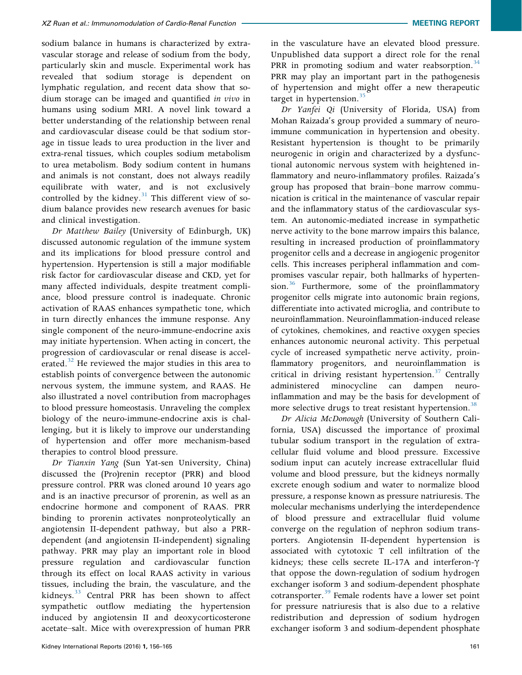sodium balance in humans is characterized by extravascular storage and release of sodium from the body, particularly skin and muscle. Experimental work has revealed that sodium storage is dependent on lymphatic regulation, and recent data show that sodium storage can be imaged and quantified in vivo in humans using sodium MRI. A novel link toward a better understanding of the relationship between renal and cardiovascular disease could be that sodium storage in tissue leads to urea production in the liver and extra-renal tissues, which couples sodium metabolism to urea metabolism. Body sodium content in humans and animals is not constant, does not always readily equilibrate with water, and is not exclusively controlled by the kidney. $31$  This different view of sodium balance provides new research avenues for basic and clinical investigation.

Dr Matthew Bailey (University of Edinburgh, UK) discussed autonomic regulation of the immune system and its implications for blood pressure control and hypertension. Hypertension is still a major modifiable risk factor for cardiovascular disease and CKD, yet for many affected individuals, despite treatment compliance, blood pressure control is inadequate. Chronic activation of RAAS enhances sympathetic tone, which in turn directly enhances the immune response. Any single component of the neuro-immune-endocrine axis may initiate hypertension. When acting in concert, the progression of cardiovascular or renal disease is accel-erated.<sup>[32](#page-9-0)</sup> He reviewed the major studies in this area to establish points of convergence between the autonomic nervous system, the immune system, and RAAS. He also illustrated a novel contribution from macrophages to blood pressure homeostasis. Unraveling the complex biology of the neuro-immune-endocrine axis is challenging, but it is likely to improve our understanding of hypertension and offer more mechanism-based therapies to control blood pressure.

Dr Tianxin Yang (Sun Yat-sen University, China) discussed the (Pro)renin receptor (PRR) and blood pressure control. PRR was cloned around 10 years ago and is an inactive precursor of prorenin, as well as an endocrine hormone and component of RAAS. PRR binding to prorenin activates nonproteolytically an angiotensin II-dependent pathway, but also a PRRdependent (and angiotensin II-independent) signaling pathway. PRR may play an important role in blood pressure regulation and cardiovascular function through its effect on local RAAS activity in various tissues, including the brain, the vasculature, and the kidneys.<sup>[33](#page-9-0)</sup> Central PRR has been shown to affect sympathetic outflow mediating the hypertension induced by angiotensin II and deoxycorticosterone acetate–salt. Mice with overexpression of human PRR

in the vasculature have an elevated blood pressure. Unpublished data support a direct role for the renal PRR in promoting sodium and water reabsorption.<sup>[34](#page-9-0)</sup> PRR may play an important part in the pathogenesis of hypertension and might offer a new therapeutic target in hypertension.<sup>[35](#page-9-0)</sup>

Dr Yanfei Qi (University of Florida, USA) from Mohan Raizada's group provided a summary of neuroimmune communication in hypertension and obesity. Resistant hypertension is thought to be primarily neurogenic in origin and characterized by a dysfunctional autonomic nervous system with heightened inflammatory and neuro-inflammatory profiles. Raizada's group has proposed that brain–bone marrow communication is critical in the maintenance of vascular repair and the inflammatory status of the cardiovascular system. An autonomic-mediated increase in sympathetic nerve activity to the bone marrow impairs this balance, resulting in increased production of proinflammatory progenitor cells and a decrease in angiogenic progenitor cells. This increases peripheral inflammation and compromises vascular repair, both hallmarks of hyperten-sion.<sup>[36](#page-9-0)</sup> Furthermore, some of the proinflammatory progenitor cells migrate into autonomic brain regions, differentiate into activated microglia, and contribute to neuroinflammation. Neuroinflammation-induced release of cytokines, chemokines, and reactive oxygen species enhances autonomic neuronal activity. This perpetual cycle of increased sympathetic nerve activity, proinflammatory progenitors, and neuroinflammation is critical in driving resistant hypertension. $37$  Centrally administered minocycline can dampen neuroinflammation and may be the basis for development of more selective drugs to treat resistant hypertension.<sup>[38](#page-9-0)</sup>

Dr Alicia McDonough (University of Southern California, USA) discussed the importance of proximal tubular sodium transport in the regulation of extracellular fluid volume and blood pressure. Excessive sodium input can acutely increase extracellular fluid volume and blood pressure, but the kidneys normally excrete enough sodium and water to normalize blood pressure, a response known as pressure natriuresis. The molecular mechanisms underlying the interdependence of blood pressure and extracellular fluid volume converge on the regulation of nephron sodium transporters. Angiotensin II-dependent hypertension is associated with cytotoxic T cell infiltration of the kidneys; these cells secrete IL-17A and interferon- $\gamma$ that oppose the down-regulation of sodium hydrogen exchanger isoform 3 and sodium-dependent phosphate cotransporter.<sup>[39](#page-9-0)</sup> Female rodents have a lower set point for pressure natriuresis that is also due to a relative redistribution and depression of sodium hydrogen exchanger isoform 3 and sodium-dependent phosphate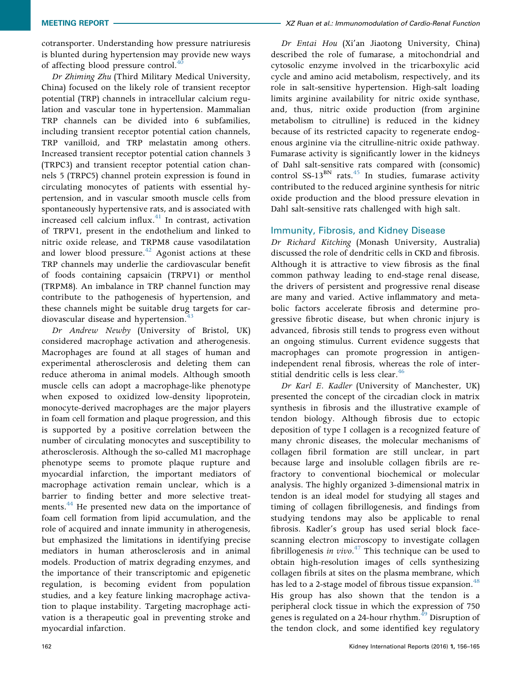cotransporter. Understanding how pressure natriuresis is blunted during hypertension may provide new ways of affecting blood pressure control.<sup>[40](#page-9-0)</sup>

Dr Zhiming Zhu (Third Military Medical University, China) focused on the likely role of transient receptor potential (TRP) channels in intracellular calcium regulation and vascular tone in hypertension. Mammalian TRP channels can be divided into 6 subfamilies, including transient receptor potential cation channels, TRP vanilloid, and TRP melastatin among others. Increased transient receptor potential cation channels 3 (TRPC3) and transient receptor potential cation channels 5 (TRPC5) channel protein expression is found in circulating monocytes of patients with essential hypertension, and in vascular smooth muscle cells from spontaneously hypertensive rats, and is associated with increased cell calcium influx. $41$  In contrast, activation of TRPV1, present in the endothelium and linked to nitric oxide release, and TRPM8 cause vasodilatation and lower blood pressure. $42$  Agonist actions at these TRP channels may underlie the cardiovascular benefit of foods containing capsaicin (TRPV1) or menthol (TRPM8). An imbalance in TRP channel function may contribute to the pathogenesis of hypertension, and these channels might be suitable drug targets for cardiovascular disease and hypertension.<sup>4</sup>

Dr Andrew Newby (University of Bristol, UK) considered macrophage activation and atherogenesis. Macrophages are found at all stages of human and experimental atherosclerosis and deleting them can reduce atheroma in animal models. Although smooth muscle cells can adopt a macrophage-like phenotype when exposed to oxidized low-density lipoprotein, monocyte-derived macrophages are the major players in foam cell formation and plaque progression, and this is supported by a positive correlation between the number of circulating monocytes and susceptibility to atherosclerosis. Although the so-called M1 macrophage phenotype seems to promote plaque rupture and myocardial infarction, the important mediators of macrophage activation remain unclear, which is a barrier to finding better and more selective treat-ments.<sup>[44](#page-9-0)</sup> He presented new data on the importance of foam cell formation from lipid accumulation, and the role of acquired and innate immunity in atherogenesis, but emphasized the limitations in identifying precise mediators in human atherosclerosis and in animal models. Production of matrix degrading enzymes, and the importance of their transcriptomic and epigenetic regulation, is becoming evident from population studies, and a key feature linking macrophage activation to plaque instability. Targeting macrophage activation is a therapeutic goal in preventing stroke and myocardial infarction.

Dr Entai Hou (Xi'an Jiaotong University, China) described the role of fumarase, a mitochondrial and cytosolic enzyme involved in the tricarboxylic acid cycle and amino acid metabolism, respectively, and its role in salt-sensitive hypertension. High-salt loading limits arginine availability for nitric oxide synthase, and, thus, nitric oxide production (from arginine metabolism to citrulline) is reduced in the kidney because of its restricted capacity to regenerate endogenous arginine via the citrulline-nitric oxide pathway. Fumarase activity is significantly lower in the kidneys of Dahl salt-sensitive rats compared with (consomic) control SS-13<sup>BN</sup> rats.<sup>[45](#page-9-0)</sup> In studies, fumarase activity contributed to the reduced arginine synthesis for nitric oxide production and the blood pressure elevation in Dahl salt-sensitive rats challenged with high salt.

# Immunity, Fibrosis, and Kidney Disease

Dr Richard Kitching (Monash University, Australia) discussed the role of dendritic cells in CKD and fibrosis. Although it is attractive to view fibrosis as the final common pathway leading to end-stage renal disease, the drivers of persistent and progressive renal disease are many and varied. Active inflammatory and metabolic factors accelerate fibrosis and determine progressive fibrotic disease, but when chronic injury is advanced, fibrosis still tends to progress even without an ongoing stimulus. Current evidence suggests that macrophages can promote progression in antigenindependent renal fibrosis, whereas the role of inter-stitial dendritic cells is less clear.<sup>[46](#page-9-0)</sup>

Dr Karl E. Kadler (University of Manchester, UK) presented the concept of the circadian clock in matrix synthesis in fibrosis and the illustrative example of tendon biology. Although fibrosis due to ectopic deposition of type I collagen is a recognized feature of many chronic diseases, the molecular mechanisms of collagen fibril formation are still unclear, in part because large and insoluble collagen fibrils are refractory to conventional biochemical or molecular analysis. The highly organized 3-dimensional matrix in tendon is an ideal model for studying all stages and timing of collagen fibrillogenesis, and findings from studying tendons may also be applicable to renal fibrosis. Kadler's group has used serial block facescanning electron microscopy to investigate collagen fibrillogenesis in vivo.<sup>[47](#page-9-0)</sup> This technique can be used to obtain high-resolution images of cells synthesizing collagen fibrils at sites on the plasma membrane, which has led to a 2-stage model of fibrous tissue expansion. $48$ His group has also shown that the tendon is a peripheral clock tissue in which the expression of 750 genes is regulated on a 24-hour rhythm.<sup>[49](#page-9-0)</sup> Disruption of the tendon clock, and some identified key regulatory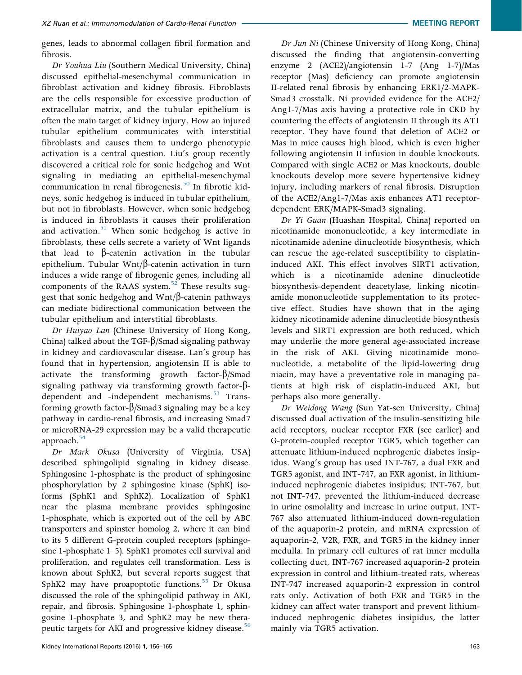genes, leads to abnormal collagen fibril formation and fibrosis.

Dr Youhua Liu (Southern Medical University, China) discussed epithelial-mesenchymal communication in fibroblast activation and kidney fibrosis. Fibroblasts are the cells responsible for excessive production of extracellular matrix, and the tubular epithelium is often the main target of kidney injury. How an injured tubular epithelium communicates with interstitial fibroblasts and causes them to undergo phenotypic activation is a central question. Liu's group recently discovered a critical role for sonic hedgehog and Wnt signaling in mediating an epithelial-mesenchymal communication in renal fibrogenesis.<sup>[50](#page-9-0)</sup> In fibrotic kidneys, sonic hedgehog is induced in tubular epithelium, but not in fibroblasts. However, when sonic hedgehog is induced in fibroblasts it causes their proliferation and activation.<sup>[51](#page-9-0)</sup> When sonic hedgehog is active in fibroblasts, these cells secrete a variety of Wnt ligands that lead to  $\beta$ -catenin activation in the tubular epithelium. Tubular Wnt/ $\beta$ -catenin activation in turn induces a wide range of fibrogenic genes, including all components of the RAAS system. $52$  These results suggest that sonic hedgehog and  $Wnt/\beta$ -catenin pathways can mediate bidirectional communication between the tubular epithelium and interstitial fibroblasts.

Dr Huiyao Lan (Chinese University of Hong Kong, China) talked about the TGF- $\beta$ /Smad signaling pathway in kidney and cardiovascular disease. Lan's group has found that in hypertension, angiotensin II is able to activate the transforming growth factor- $\beta$ /Smad signaling pathway via transforming growth factor- $\beta$ -dependent and -independent mechanisms.<sup>[53](#page-9-0)</sup> Transforming growth factor- $\beta$ /Smad3 signaling may be a key pathway in cardio-renal fibrosis, and increasing Smad7 or microRNA-29 expression may be a valid therapeutic approach.<sup>[54](#page-9-0)</sup>

Dr Mark Okusa (University of Virginia, USA) described sphingolipid signaling in kidney disease. Sphingosine 1-phosphate is the product of sphingosine phosphorylation by 2 sphingosine kinase (SphK) isoforms (SphK1 and SphK2). Localization of SphK1 near the plasma membrane provides sphingosine 1-phosphate, which is exported out of the cell by ABC transporters and spinster homolog 2, where it can bind to its 5 different G-protein coupled receptors (sphingosine 1-phosphate 1–5). SphK1 promotes cell survival and proliferation, and regulates cell transformation. Less is known about SphK2, but several reports suggest that SphK2 may have proapoptotic functions.<sup>55</sup> Dr Okusa discussed the role of the sphingolipid pathway in AKI, repair, and fibrosis. Sphingosine 1-phosphate 1, sphingosine 1-phosphate 3, and SphK2 may be new therapeutic targets for AKI and progressive kidney disease.<sup>56</sup>

Dr Jun Ni (Chinese University of Hong Kong, China) discussed the finding that angiotensin-converting enzyme 2 (ACE2)/angiotensin 1-7 (Ang 1-7)/Mas receptor (Mas) deficiency can promote angiotensin II-related renal fibrosis by enhancing ERK1/2-MAPK-Smad3 crosstalk. Ni provided evidence for the ACE2/ Ang1-7/Mas axis having a protective role in CKD by countering the effects of angiotensin II through its AT1 receptor. They have found that deletion of ACE2 or Mas in mice causes high blood, which is even higher following angiotensin II infusion in double knockouts. Compared with single ACE2 or Mas knockouts, double knockouts develop more severe hypertensive kidney injury, including markers of renal fibrosis. Disruption of the ACE2/Ang1-7/Mas axis enhances AT1 receptordependent ERK/MAPK-Smad3 signaling.

Dr Yi Guan (Huashan Hospital, China) reported on nicotinamide mononucleotide, a key intermediate in nicotinamide adenine dinucleotide biosynthesis, which can rescue the age-related susceptibility to cisplatininduced AKI. This effect involves SIRT1 activation, which is a nicotinamide adenine dinucleotide biosynthesis-dependent deacetylase, linking nicotinamide mononucleotide supplementation to its protective effect. Studies have shown that in the aging kidney nicotinamide adenine dinucleotide biosynthesis levels and SIRT1 expression are both reduced, which may underlie the more general age-associated increase in the risk of AKI. Giving nicotinamide mononucleotide, a metabolite of the lipid-lowering drug niacin, may have a preventative role in managing patients at high risk of cisplatin-induced AKI, but perhaps also more generally.

Dr Weidong Wang (Sun Yat-sen University, China) discussed dual activation of the insulin-sensitizing bile acid receptors, nuclear receptor FXR (see earlier) and G-protein-coupled receptor TGR5, which together can attenuate lithium-induced nephrogenic diabetes insipidus. Wang's group has used INT-767, a dual FXR and TGR5 agonist, and INT-747, an FXR agonist, in lithiuminduced nephrogenic diabetes insipidus; INT-767, but not INT-747, prevented the lithium-induced decrease in urine osmolality and increase in urine output. INT-767 also attenuated lithium-induced down-regulation of the aquaporin-2 protein, and mRNA expression of aquaporin-2, V2R, FXR, and TGR5 in the kidney inner medulla. In primary cell cultures of rat inner medulla collecting duct, INT-767 increased aquaporin-2 protein expression in control and lithium-treated rats, whereas INT-747 increased aquaporin-2 expression in control rats only. Activation of both FXR and TGR5 in the kidney can affect water transport and prevent lithiuminduced nephrogenic diabetes insipidus, the latter mainly via TGR5 activation.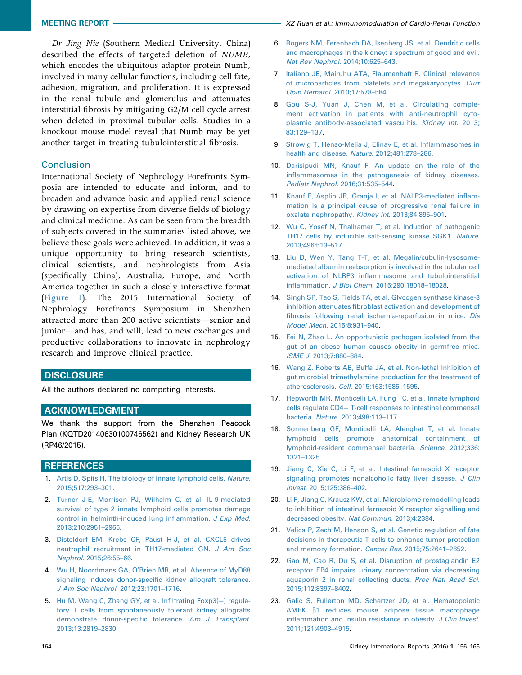<span id="page-8-0"></span>Dr Jing Nie (Southern Medical University, China) described the effects of targeted deletion of NUMB, which encodes the ubiquitous adaptor protein Numb, involved in many cellular functions, including cell fate, adhesion, migration, and proliferation. It is expressed in the renal tubule and glomerulus and attenuates interstitial fibrosis by mitigating G2/M cell cycle arrest when deleted in proximal tubular cells. Studies in a knockout mouse model reveal that Numb may be yet another target in treating tubulointerstitial fibrosis.

#### **Conclusion**

International Society of Nephrology Forefronts Symposia are intended to educate and inform, and to broaden and advance basic and applied renal science by drawing on expertise from diverse fields of biology and clinical medicine. As can be seen from the breadth of subjects covered in the summaries listed above, we believe these goals were achieved. In addition, it was a unique opportunity to bring research scientists, clinical scientists, and nephrologists from Asia (specifically China), Australia, Europe, and North America together in such a closely interactive format ([Figure 1](#page-1-0)). The 2015 International Society of Nephrology Forefronts Symposium in Shenzhen attracted more than 200 active scientists—senior and junior—and has, and will, lead to new exchanges and productive collaborations to innovate in nephrology research and improve clinical practice.

# **DISCLOSURE**

All the authors declared no competing interests.

# ACKNOWLEDGMENT

We thank the support from the Shenzhen Peacock Plan (KQTD20140630100746562) and Kidney Research UK (RP46/2015).

#### **REFERENCES**

- 1. [Artis D, Spits H. The biology of innate lymphoid cells.](http://refhub.elsevier.com/S2468-0249(16)30045-6/sref1) Nature. [2015;517:293](http://refhub.elsevier.com/S2468-0249(16)30045-6/sref1)–301.
- 2. [Turner J-E, Morrison PJ, Wilhelm C, et al. IL-9-mediated](http://refhub.elsevier.com/S2468-0249(16)30045-6/sref2) [survival of type 2 innate lymphoid cells promotes damage](http://refhub.elsevier.com/S2468-0249(16)30045-6/sref2) [control in helminth-induced lung in](http://refhub.elsevier.com/S2468-0249(16)30045-6/sref2)flammation. J Exp Med. [2013;210:2951](http://refhub.elsevier.com/S2468-0249(16)30045-6/sref2)–2965.
- 3. [Disteldorf EM, Krebs CF, Paust H-J, et al. CXCL5 drives](http://refhub.elsevier.com/S2468-0249(16)30045-6/sref3) [neutrophil recruitment in TH17-mediated GN.](http://refhub.elsevier.com/S2468-0249(16)30045-6/sref3) J Am Soc Nephrol[. 2015;26:55](http://refhub.elsevier.com/S2468-0249(16)30045-6/sref3)–66.
- 4. Wu H, Noordmans GA, O'[Brien MR, et al. Absence of MyD88](http://refhub.elsevier.com/S2468-0249(16)30045-6/sref4) [signaling induces donor-speci](http://refhub.elsevier.com/S2468-0249(16)30045-6/sref4)fic kidney allograft tolerance. [J Am Soc Nephrol](http://refhub.elsevier.com/S2468-0249(16)30045-6/sref4). 2012;23:1701–1716.
- 5. [Hu M, Wang C, Zhang GY, et al. In](http://refhub.elsevier.com/S2468-0249(16)30045-6/sref5)filtrating Foxp3(+[\) regula](http://refhub.elsevier.com/S2468-0249(16)30045-6/sref5)[tory T cells from spontaneously tolerant kidney allografts](http://refhub.elsevier.com/S2468-0249(16)30045-6/sref5) [demonstrate donor-speci](http://refhub.elsevier.com/S2468-0249(16)30045-6/sref5)fic tolerance. Am J Transplant. [2013;13:2819](http://refhub.elsevier.com/S2468-0249(16)30045-6/sref5)–2830.
- 6. [Rogers NM, Ferenbach DA, Isenberg JS, et al. Dendritic cells](http://refhub.elsevier.com/S2468-0249(16)30045-6/sref6) [and macrophages in the kidney: a spectrum of good and evil.](http://refhub.elsevier.com/S2468-0249(16)30045-6/sref6) [Nat Rev Nephrol](http://refhub.elsevier.com/S2468-0249(16)30045-6/sref6). 2014;10:625–643.
- 7. [Italiano JE, Mairuhu ATA, Flaumenhaft R. Clinical relevance](http://refhub.elsevier.com/S2468-0249(16)30045-6/sref7) [of microparticles from platelets and megakaryocytes.](http://refhub.elsevier.com/S2468-0249(16)30045-6/sref7) Curr [Opin Hematol](http://refhub.elsevier.com/S2468-0249(16)30045-6/sref7). 2010;17:578–584.
- 8. [Gou S-J, Yuan J, Chen M, et al. Circulating comple](http://refhub.elsevier.com/S2468-0249(16)30045-6/sref8)[ment activation in patients](http://refhub.elsevier.com/S2468-0249(16)30045-6/sref8) with anti-neutrophil cyto[plasmic antibody-associated vasculitis.](http://refhub.elsevier.com/S2468-0249(16)30045-6/sref8) Kidney Int. 2013; [83:129](http://refhub.elsevier.com/S2468-0249(16)30045-6/sref8)–137.
- 9. [Strowig T, Henao-Mejia J, Elinav E, et al. In](http://refhub.elsevier.com/S2468-0249(16)30045-6/sref9)flammasomes in [health and disease.](http://refhub.elsevier.com/S2468-0249(16)30045-6/sref9) Nature. 2012;481:278–286.
- 10. [Darisipudi MN, Knauf F. An update on the role of the](http://refhub.elsevier.com/S2468-0249(16)30045-6/sref10) infl[ammasomes in the pathogenesis of kidney diseases.](http://refhub.elsevier.com/S2468-0249(16)30045-6/sref10) [Pediatr Nephrol](http://refhub.elsevier.com/S2468-0249(16)30045-6/sref10). 2016;31:535–544.
- 11. [Knauf F, Asplin JR, Granja I, et al. NALP3-mediated in](http://refhub.elsevier.com/S2468-0249(16)30045-6/sref11)flam[mation is a principal cause of progressive renal failure in](http://refhub.elsevier.com/S2468-0249(16)30045-6/sref11) [oxalate nephropathy.](http://refhub.elsevier.com/S2468-0249(16)30045-6/sref11) Kidney Int. 2013;84:895–901.
- 12. [Wu C, Yosef N, Thalhamer T, et al. Induction of pathogenic](http://refhub.elsevier.com/S2468-0249(16)30045-6/sref12) [TH17 cells by inducible salt-sensing kinase SGK1.](http://refhub.elsevier.com/S2468-0249(16)30045-6/sref12) Nature. [2013;496:513](http://refhub.elsevier.com/S2468-0249(16)30045-6/sref12)–517.
- 13. [Liu D, Wen Y, Tang T-T, et al. Megalin/cubulin-lysosome](http://refhub.elsevier.com/S2468-0249(16)30045-6/sref13)[mediated albumin reabsorption is involved in the tubular cell](http://refhub.elsevier.com/S2468-0249(16)30045-6/sref13) activation of NLRP3 infl[ammasome and tubulointerstitial](http://refhub.elsevier.com/S2468-0249(16)30045-6/sref13) inflammation. J Biol Chem[. 2015;290:18018](http://refhub.elsevier.com/S2468-0249(16)30045-6/sref13)–18028.
- 14. [Singh SP, Tao S, Fields TA, et al. Glycogen synthase kinase-3](http://refhub.elsevier.com/S2468-0249(16)30045-6/sref14) inhibition attenuates fi[broblast activation and development of](http://refhub.elsevier.com/S2468-0249(16)30045-6/sref14) fi[brosis following renal ischemia-reperfusion in mice.](http://refhub.elsevier.com/S2468-0249(16)30045-6/sref14) Dis [Model Mech](http://refhub.elsevier.com/S2468-0249(16)30045-6/sref14). 2015;8:931–940.
- 15. [Fei N, Zhao L. An opportunistic pathogen isolated from the](http://refhub.elsevier.com/S2468-0249(16)30045-6/sref15) [gut of an obese human causes obesity in germfree mice.](http://refhub.elsevier.com/S2468-0249(16)30045-6/sref15) ISME J[. 2013;7:880](http://refhub.elsevier.com/S2468-0249(16)30045-6/sref15)–884.
- 16. [Wang Z, Roberts AB, Buffa JA, et al. Non-lethal Inhibition of](http://refhub.elsevier.com/S2468-0249(16)30045-6/sref16) [gut microbial trimethylamine production for the treatment of](http://refhub.elsevier.com/S2468-0249(16)30045-6/sref16) [atherosclerosis.](http://refhub.elsevier.com/S2468-0249(16)30045-6/sref16) Cell. 2015;163:1585–1595.
- 17. [Hepworth MR, Monticelli LA, Fung TC, et al. Innate lymphoid](http://refhub.elsevier.com/S2468-0249(16)30045-6/sref17)  $cells$  regulate  $CD4+T-cell$  responses to intestinal commensal bacteria. Nature[. 2013;498:113](http://refhub.elsevier.com/S2468-0249(16)30045-6/sref17)–117.
- 18. [Sonnenberg GF, Monticelli LA, Alenghat T, et al. Innate](http://refhub.elsevier.com/S2468-0249(16)30045-6/sref18) [lymphoid cells promote anatomical containment of](http://refhub.elsevier.com/S2468-0249(16)30045-6/sref18) [lymphoid-resident commensal bacteria.](http://refhub.elsevier.com/S2468-0249(16)30045-6/sref18) Science. 2012;336: [1321](http://refhub.elsevier.com/S2468-0249(16)30045-6/sref18)–1325.
- 19. [Jiang C, Xie C, Li F, et al. Intestinal farnesoid X receptor](http://refhub.elsevier.com/S2468-0249(16)30045-6/sref19) [signaling promotes nonalcoholic fatty liver disease.](http://refhub.elsevier.com/S2468-0249(16)30045-6/sref19) J Clin Invest[. 2015;125:386](http://refhub.elsevier.com/S2468-0249(16)30045-6/sref19)–402.
- 20. [Li F, Jiang C, Krausz KW, et al. Microbiome remodelling leads](http://refhub.elsevier.com/S2468-0249(16)30045-6/sref20) [to inhibition of intestinal farnesoid X receptor signalling and](http://refhub.elsevier.com/S2468-0249(16)30045-6/sref20) [decreased obesity.](http://refhub.elsevier.com/S2468-0249(16)30045-6/sref20) Nat Commun. 2013;4:2384.
- 21. [Velica P, Zech M, Henson S, et al. Genetic regulation of fate](http://refhub.elsevier.com/S2468-0249(16)30045-6/sref21) [decisions in therapeutic T cells to enhance tumor protection](http://refhub.elsevier.com/S2468-0249(16)30045-6/sref21) [and memory formation.](http://refhub.elsevier.com/S2468-0249(16)30045-6/sref21) Cancer Res. 2015;75:2641–2652.
- 22. [Gao M, Cao R, Du S, et al. Disruption of prostaglandin E2](http://refhub.elsevier.com/S2468-0249(16)30045-6/sref22) [receptor EP4 impairs urinary concentration via decreasing](http://refhub.elsevier.com/S2468-0249(16)30045-6/sref22) [aquaporin 2 in renal collecting ducts.](http://refhub.elsevier.com/S2468-0249(16)30045-6/sref22) Proc Natl Acad Sci. [2015;112:8397](http://refhub.elsevier.com/S2468-0249(16)30045-6/sref22)–8402.
- 23. [Galic S, Fullerton MD, Schertzer JD, et al. Hematopoietic](http://refhub.elsevier.com/S2468-0249(16)30045-6/sref23) AMPK  $\beta$ [1 reduces mouse adipose tissue macrophage](http://refhub.elsevier.com/S2468-0249(16)30045-6/sref23) infl[ammation and insulin resistance in obesity.](http://refhub.elsevier.com/S2468-0249(16)30045-6/sref23) J Clin Invest. [2011;121:4903](http://refhub.elsevier.com/S2468-0249(16)30045-6/sref23)–4915.